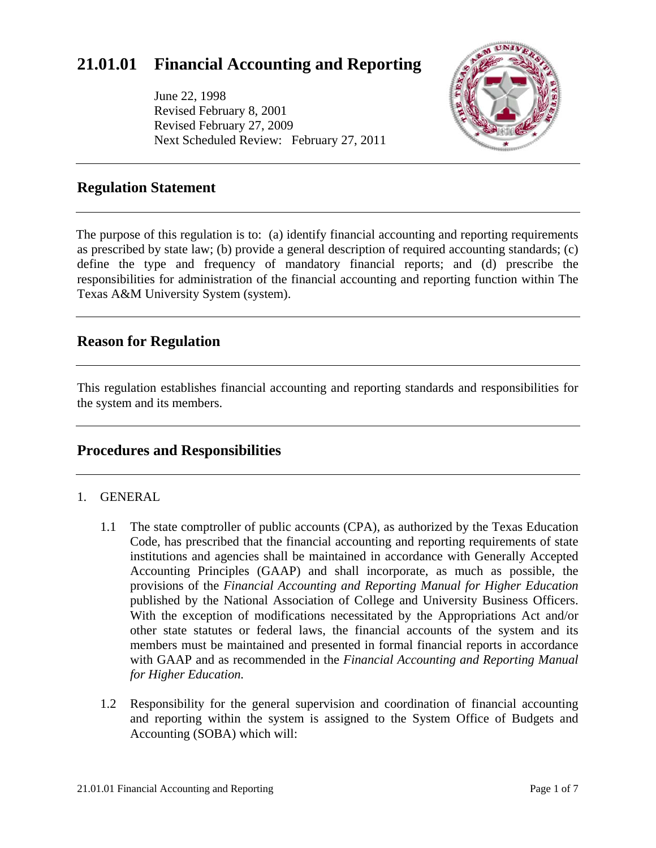# **21.01.01 Financial Accounting and Reporting**

 June 22, 1998 Revised February 8, 2001 Revised February 27, 2009 Next Scheduled Review: February 27, 2011



## **Regulation Statement**

The purpose of this regulation is to: (a) identify financial accounting and reporting requirements as prescribed by state law; (b) provide a general description of required accounting standards; (c) define the type and frequency of mandatory financial reports; and (d) prescribe the responsibilities for administration of the financial accounting and reporting function within The Texas A&M University System (system).

## **Reason for Regulation**

This regulation establishes financial accounting and reporting standards and responsibilities for the system and its members.

## **Procedures and Responsibilities**

#### 1. GENERAL

- 1.1 The state comptroller of public accounts (CPA), as authorized by the Texas Education Code, has prescribed that the financial accounting and reporting requirements of state institutions and agencies shall be maintained in accordance with Generally Accepted Accounting Principles (GAAP) and shall incorporate, as much as possible, the provisions of the *Financial Accounting and Reporting Manual for Higher Education* published by the National Association of College and University Business Officers. With the exception of modifications necessitated by the Appropriations Act and/or other state statutes or federal laws, the financial accounts of the system and its members must be maintained and presented in formal financial reports in accordance with GAAP and as recommended in the *Financial Accounting and Reporting Manual for Higher Education.*
- 1.2 Responsibility for the general supervision and coordination of financial accounting and reporting within the system is assigned to the System Office of Budgets and Accounting (SOBA) which will: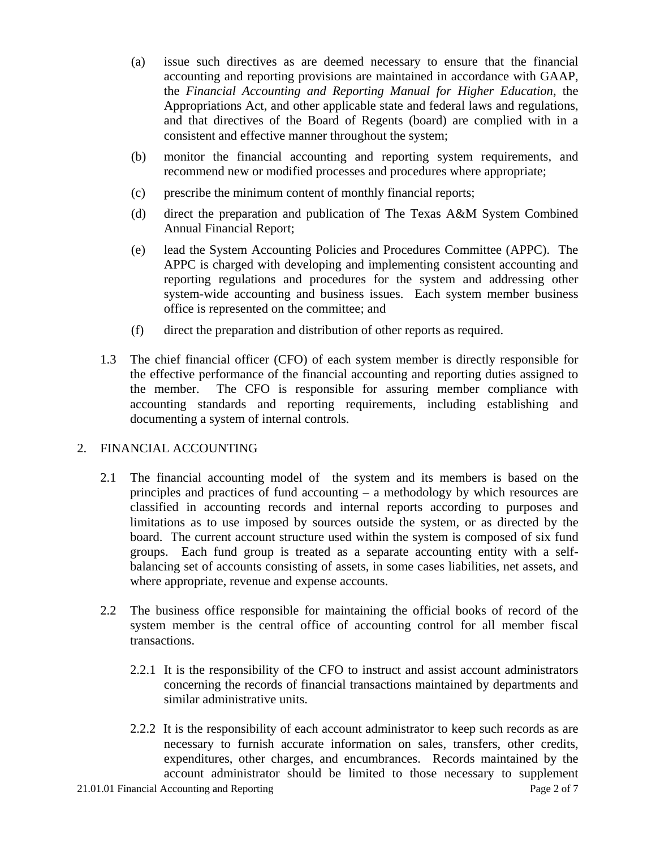- (a) issue such directives as are deemed necessary to ensure that the financial accounting and reporting provisions are maintained in accordance with GAAP, the *Financial Accounting and Reporting Manual for Higher Education*, the Appropriations Act, and other applicable state and federal laws and regulations, and that directives of the Board of Regents (board) are complied with in a consistent and effective manner throughout the system;
- (b) monitor the financial accounting and reporting system requirements, and recommend new or modified processes and procedures where appropriate;
- (c) prescribe the minimum content of monthly financial reports;
- (d) direct the preparation and publication of The Texas A&M System Combined Annual Financial Report;
- (e) lead the System Accounting Policies and Procedures Committee (APPC). The APPC is charged with developing and implementing consistent accounting and reporting regulations and procedures for the system and addressing other system-wide accounting and business issues. Each system member business office is represented on the committee; and
- (f) direct the preparation and distribution of other reports as required.
- 1.3 The chief financial officer (CFO) of each system member is directly responsible for the effective performance of the financial accounting and reporting duties assigned to the member. The CFO is responsible for assuring member compliance with accounting standards and reporting requirements, including establishing and documenting a system of internal controls.

### 2. FINANCIAL ACCOUNTING

- 2.1 The financial accounting model of the system and its members is based on the principles and practices of fund accounting – a methodology by which resources are classified in accounting records and internal reports according to purposes and limitations as to use imposed by sources outside the system, or as directed by the board. The current account structure used within the system is composed of six fund groups. Each fund group is treated as a separate accounting entity with a selfbalancing set of accounts consisting of assets, in some cases liabilities, net assets, and where appropriate, revenue and expense accounts.
- 2.2 The business office responsible for maintaining the official books of record of the system member is the central office of accounting control for all member fiscal transactions.
	- 2.2.1 It is the responsibility of the CFO to instruct and assist account administrators concerning the records of financial transactions maintained by departments and similar administrative units.
	- 2.2.2 It is the responsibility of each account administrator to keep such records as are necessary to furnish accurate information on sales, transfers, other credits, expenditures, other charges, and encumbrances. Records maintained by the account administrator should be limited to those necessary to supplement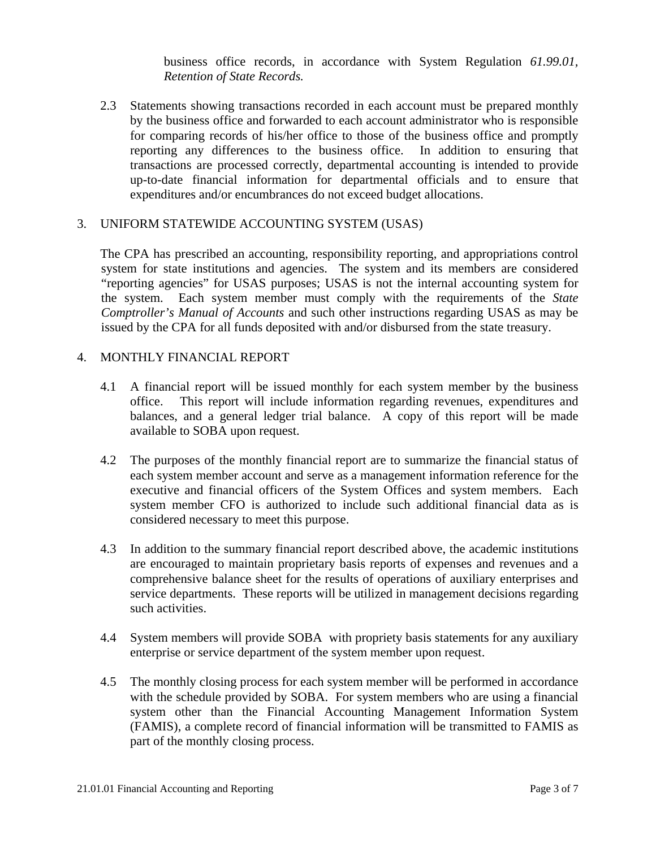business office records, in accordance with System Regulation *61.99.01, Retention of State Records.* 

2.3 Statements showing transactions recorded in each account must be prepared monthly by the business office and forwarded to each account administrator who is responsible for comparing records of his/her office to those of the business office and promptly reporting any differences to the business office. In addition to ensuring that transactions are processed correctly, departmental accounting is intended to provide up-to-date financial information for departmental officials and to ensure that expenditures and/or encumbrances do not exceed budget allocations.

#### 3. UNIFORM STATEWIDE ACCOUNTING SYSTEM (USAS)

The CPA has prescribed an accounting, responsibility reporting, and appropriations control system for state institutions and agencies. The system and its members are considered "reporting agencies" for USAS purposes; USAS is not the internal accounting system for the system. Each system member must comply with the requirements of the *State Comptroller's Manual of Accounts* and such other instructions regarding USAS as may be issued by the CPA for all funds deposited with and/or disbursed from the state treasury.

#### 4. MONTHLY FINANCIAL REPORT

- 4.1 A financial report will be issued monthly for each system member by the business office. This report will include information regarding revenues, expenditures and balances, and a general ledger trial balance. A copy of this report will be made available to SOBA upon request.
- 4.2 The purposes of the monthly financial report are to summarize the financial status of each system member account and serve as a management information reference for the executive and financial officers of the System Offices and system members. Each system member CFO is authorized to include such additional financial data as is considered necessary to meet this purpose.
- 4.3 In addition to the summary financial report described above, the academic institutions are encouraged to maintain proprietary basis reports of expenses and revenues and a comprehensive balance sheet for the results of operations of auxiliary enterprises and service departments. These reports will be utilized in management decisions regarding such activities.
- 4.4 System members will provide SOBA with propriety basis statements for any auxiliary enterprise or service department of the system member upon request.
- 4.5 The monthly closing process for each system member will be performed in accordance with the schedule provided by SOBA. For system members who are using a financial system other than the Financial Accounting Management Information System (FAMIS), a complete record of financial information will be transmitted to FAMIS as part of the monthly closing process.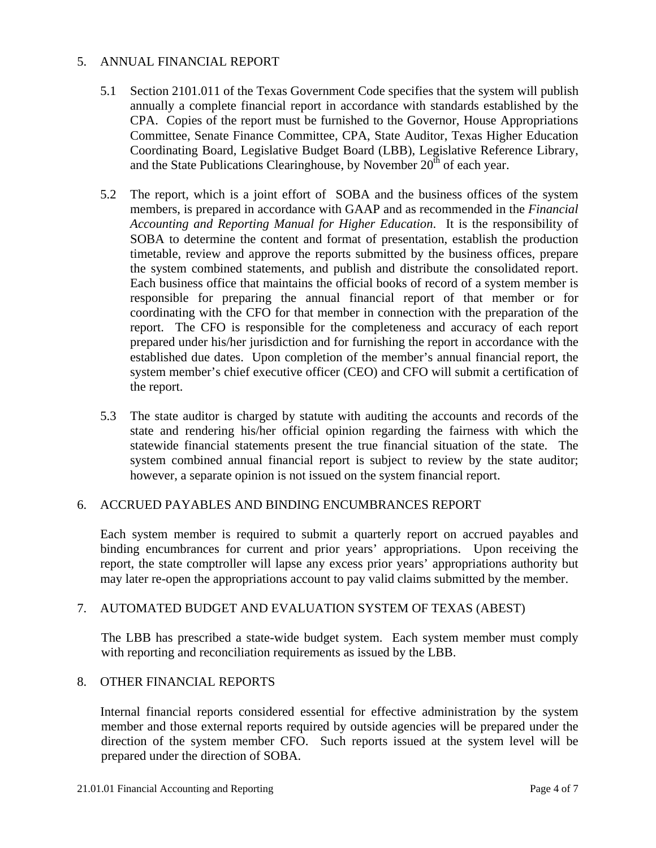#### 5. ANNUAL FINANCIAL REPORT

- 5.1 Section 2101.011 of the Texas Government Code specifies that the system will publish annually a complete financial report in accordance with standards established by the CPA. Copies of the report must be furnished to the Governor, House Appropriations Committee, Senate Finance Committee, CPA, State Auditor, Texas Higher Education Coordinating Board, Legislative Budget Board (LBB), Legislative Reference Library, and the State Publications Clearinghouse, by November  $20<sup>th</sup>$  of each year.
- 5.2 The report, which is a joint effort of SOBA and the business offices of the system members, is prepared in accordance with GAAP and as recommended in the *Financial Accounting and Reporting Manual for Higher Education*. It is the responsibility of SOBA to determine the content and format of presentation, establish the production timetable, review and approve the reports submitted by the business offices, prepare the system combined statements, and publish and distribute the consolidated report. Each business office that maintains the official books of record of a system member is responsible for preparing the annual financial report of that member or for coordinating with the CFO for that member in connection with the preparation of the report. The CFO is responsible for the completeness and accuracy of each report prepared under his/her jurisdiction and for furnishing the report in accordance with the established due dates. Upon completion of the member's annual financial report, the system member's chief executive officer (CEO) and CFO will submit a certification of the report.
- 5.3 The state auditor is charged by statute with auditing the accounts and records of the state and rendering his/her official opinion regarding the fairness with which the statewide financial statements present the true financial situation of the state. The system combined annual financial report is subject to review by the state auditor; however, a separate opinion is not issued on the system financial report.

#### 6. ACCRUED PAYABLES AND BINDING ENCUMBRANCES REPORT

Each system member is required to submit a quarterly report on accrued payables and binding encumbrances for current and prior years' appropriations. Upon receiving the report, the state comptroller will lapse any excess prior years' appropriations authority but may later re-open the appropriations account to pay valid claims submitted by the member.

#### 7. AUTOMATED BUDGET AND EVALUATION SYSTEM OF TEXAS (ABEST)

The LBB has prescribed a state-wide budget system. Each system member must comply with reporting and reconciliation requirements as issued by the LBB.

#### 8. OTHER FINANCIAL REPORTS

Internal financial reports considered essential for effective administration by the system member and those external reports required by outside agencies will be prepared under the direction of the system member CFO. Such reports issued at the system level will be prepared under the direction of SOBA.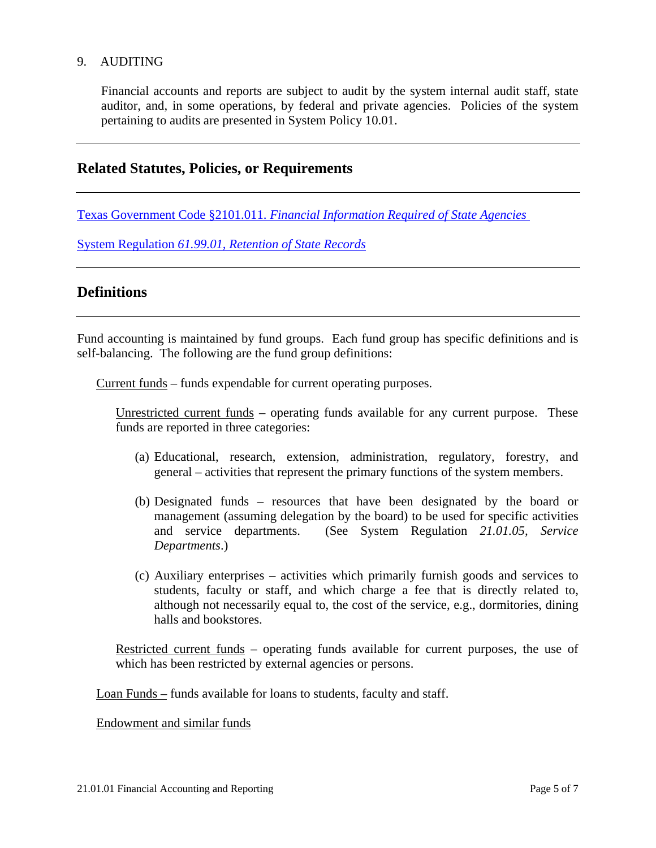#### 9. AUDITING

Financial accounts and reports are subject to audit by the system internal audit staff, state auditor, and, in some operations, by federal and private agencies. Policies of the system pertaining to audits are presented in System Policy 10.01.

### **Related Statutes, Policies, or Requirements**

Texas Government Code §2101.011. *[Financial Information Required of State Agencies](http://www.statutes.legis.state.tx.us/SOTWDocs/GV/htm/GV.2101.htm#2101.011)*

System Regulation *[61.99.01, Retention of State Records](http://tamus.edu/offices/policy/policies/pdf/61-99-01.pdf)*

## **Definitions**

Fund accounting is maintained by fund groups. Each fund group has specific definitions and is self-balancing. The following are the fund group definitions:

Current funds – funds expendable for current operating purposes.

Unrestricted current funds – operating funds available for any current purpose. These funds are reported in three categories:

- (a) Educational, research, extension, administration, regulatory, forestry, and general – activities that represent the primary functions of the system members.
- (b) Designated funds resources that have been designated by the board or management (assuming delegation by the board) to be used for specific activities and service departments. (See System Regulation *21.01.05, Service Departments*.)
- (c) Auxiliary enterprises activities which primarily furnish goods and services to students, faculty or staff, and which charge a fee that is directly related to, although not necessarily equal to, the cost of the service, e.g., dormitories, dining halls and bookstores.

Restricted current funds – operating funds available for current purposes, the use of which has been restricted by external agencies or persons.

Loan Funds – funds available for loans to students, faculty and staff.

Endowment and similar funds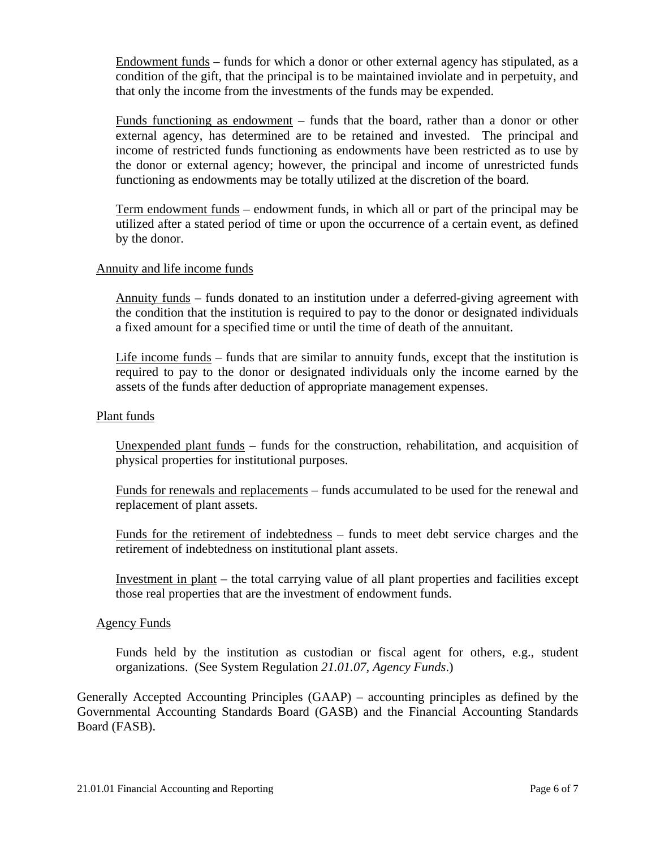Endowment funds – funds for which a donor or other external agency has stipulated, as a condition of the gift, that the principal is to be maintained inviolate and in perpetuity, and that only the income from the investments of the funds may be expended.

Funds functioning as endowment – funds that the board, rather than a donor or other external agency, has determined are to be retained and invested. The principal and income of restricted funds functioning as endowments have been restricted as to use by the donor or external agency; however, the principal and income of unrestricted funds functioning as endowments may be totally utilized at the discretion of the board.

Term endowment funds – endowment funds, in which all or part of the principal may be utilized after a stated period of time or upon the occurrence of a certain event, as defined by the donor.

#### Annuity and life income funds

Annuity funds – funds donated to an institution under a deferred-giving agreement with the condition that the institution is required to pay to the donor or designated individuals a fixed amount for a specified time or until the time of death of the annuitant.

Life income funds – funds that are similar to annuity funds, except that the institution is required to pay to the donor or designated individuals only the income earned by the assets of the funds after deduction of appropriate management expenses.

#### Plant funds

Unexpended plant funds – funds for the construction, rehabilitation, and acquisition of physical properties for institutional purposes.

Funds for renewals and replacements – funds accumulated to be used for the renewal and replacement of plant assets.

Funds for the retirement of indebtedness – funds to meet debt service charges and the retirement of indebtedness on institutional plant assets.

Investment in plant – the total carrying value of all plant properties and facilities except those real properties that are the investment of endowment funds.

#### Agency Funds

Funds held by the institution as custodian or fiscal agent for others, e.g., student organizations. (See System Regulation *21.01.07, Agency Funds*.)

Generally Accepted Accounting Principles (GAAP) – accounting principles as defined by the Governmental Accounting Standards Board (GASB) and the Financial Accounting Standards Board (FASB).